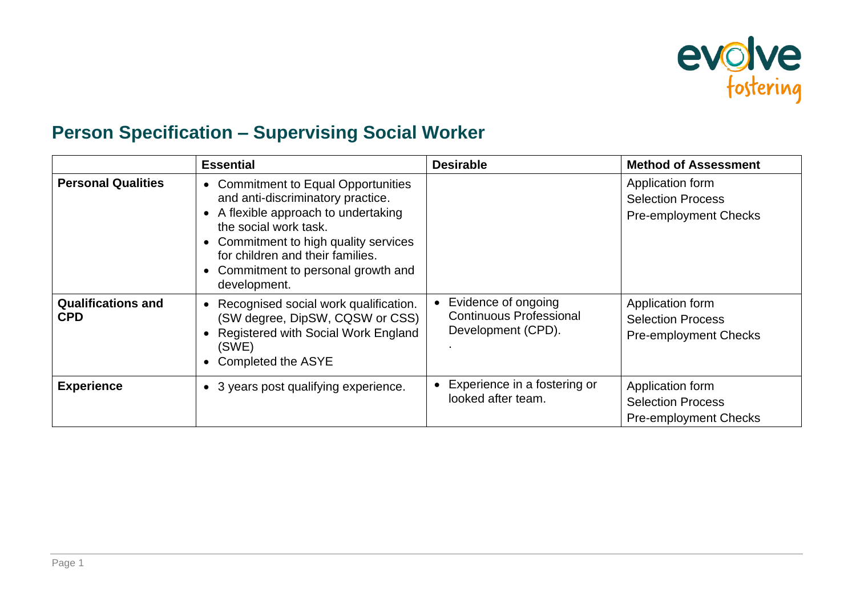

## **Person Specification – Supervising Social Worker**

|                                         | <b>Essential</b>                                                                                                                                                                                                                                                                                                    | <b>Desirable</b>                                                            | <b>Method of Assessment</b>                                                  |
|-----------------------------------------|---------------------------------------------------------------------------------------------------------------------------------------------------------------------------------------------------------------------------------------------------------------------------------------------------------------------|-----------------------------------------------------------------------------|------------------------------------------------------------------------------|
| <b>Personal Qualities</b>               | <b>Commitment to Equal Opportunities</b><br>$\bullet$<br>and anti-discriminatory practice.<br>A flexible approach to undertaking<br>the social work task.<br>Commitment to high quality services<br>$\bullet$<br>for children and their families.<br>Commitment to personal growth and<br>$\bullet$<br>development. |                                                                             | Application form<br><b>Selection Process</b><br><b>Pre-employment Checks</b> |
| <b>Qualifications and</b><br><b>CPD</b> | Recognised social work qualification.<br>$\bullet$<br>(SW degree, DipSW, CQSW or CSS)<br>Registered with Social Work England<br>(SWE)<br>Completed the ASYE                                                                                                                                                         | Evidence of ongoing<br><b>Continuous Professional</b><br>Development (CPD). | Application form<br><b>Selection Process</b><br><b>Pre-employment Checks</b> |
| <b>Experience</b>                       | • 3 years post qualifying experience.                                                                                                                                                                                                                                                                               | Experience in a fostering or<br>looked after team.                          | Application form<br><b>Selection Process</b><br><b>Pre-employment Checks</b> |